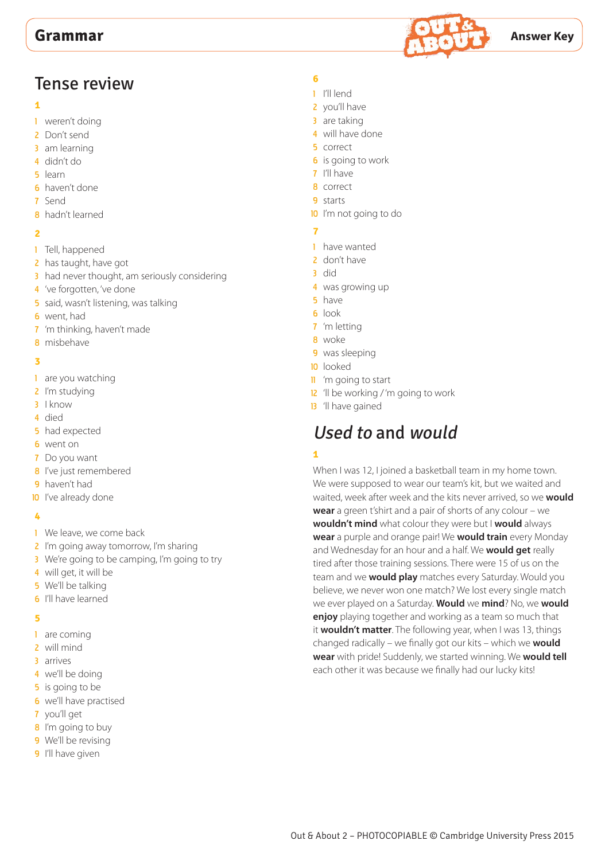

# Tense review

### **1**

- 1 weren't doing
- 2 Don't send
- 3 am learning
- 4 didn't do
- 5 learn
- 6 haven't done
- 7 Send
- 8 hadn't learned

## **2**

- 1 Tell, happened
- 2 has taught, have got
- 3 had never thought, am seriously considering
- 4 've forgotten, 've done
- 5 said, wasn't listening, was talking
- **6** went, had
- 7 'm thinking, haven't made
- 8 misbehave

## **3**

- 1 are you watching
- 2 I'm studying
- 3 I know
- 4 died
- 5 had expected
- 6 went on
- 7 Do you want
- 8 I've just remembered
- 9 haven't had
- **10** I've already done

# **4**

- 1 We leave, we come back
- 2 I'm going away tomorrow, I'm sharing
- 3 We're going to be camping, I'm going to try
- 4 will get, it will be
- 5 We'll be talking
- **6** I'll have learned

# **5**

- 1 are coming
- 2 will mind
- 3 arrives
- 4 we'll be doing
- **5** is going to be
- 6 we'll have practised
- 7 you'll get
- 8 I'm going to buy
- 9 We'll be revising
- 9 I'll have given

# **6**

- 1 I'll lend
- 2 you'll have
- 3 are taking
- 4 will have done
- 5 correct
- **6** is going to work
- 7 I'll have
- 8 correct
- 9 starts
- 10 I'm not going to do

# **7**

- 1 have wanted
- 2 don't have
- 3 did
- 4 was growing up
- 5 have
- 6 look
- 7 'm letting
- 8 woke
- 9 was sleeping
- 10 looked
- 11 'm going to start
- 12 'll be working / 'm going to work
- 13 'll have gained

# Used to and would

# **1**

When I was 12, I joined a basketball team in my home town. We were supposed to wear our team's kit, but we waited and waited, week after week and the kits never arrived, so we **would wear** a green t'shirt and a pair of shorts of any colour – we **wouldn't mind** what colour they were but I **would** always **wear** a purple and orange pair! We **would train** every Monday and Wednesday for an hour and a half. We **would get** really tired after those training sessions. There were 15 of us on the team and we **would play** matches every Saturday. Would you believe, we never won one match? We lost every single match we ever played on a Saturday. **Would** we **mind**? No, we **would enjoy** playing together and working as a team so much that it **wouldn't matter**. The following year, when I was 13, things changed radically – we finally got our kits – which we **would wear** with pride! Suddenly, we started winning. We **would tell** each other it was because we finally had our lucky kits!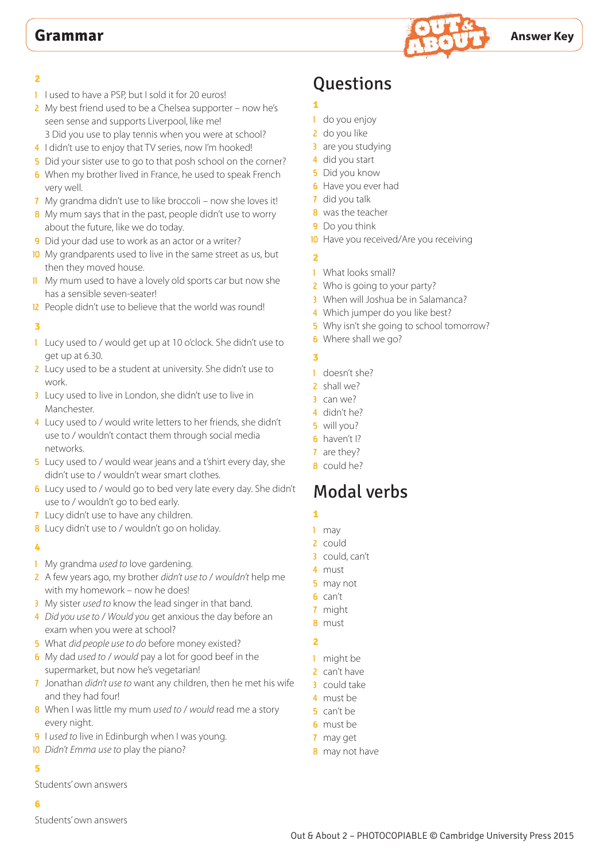

- 1 I used to have a PSP, but I sold it for 20 euros!
- 2 My best friend used to be a Chelsea supporter now he's seen sense and supports Liverpool, like me! 3 Did you use to play tennis when you were at school?
- 4 I didn't use to enjoy that TV series, now I'm hooked!
- 5 Did your sister use to go to that posh school on the corner?
- 6 When my brother lived in France, he used to speak French very well.
- 7 My grandma didn't use to like broccoli now she loves it!
- 8 My mum says that in the past, people didn't use to worry about the future, like we do today.
- 9 Did your dad use to work as an actor or a writer?
- 10 My grandparents used to live in the same street as us, but then they moved house.
- **11** My mum used to have a lovely old sports car but now she has a sensible seven-seater!
- 12 People didn't use to believe that the world was round!

#### **3**

- 1 Lucy used to / would get up at 10 o'clock. She didn't use to get up at 6.30.
- 2 Lucy used to be a student at university. She didn't use to work.
- 3 Lucy used to live in London, she didn't use to live in Manchester.
- 4 Lucy used to / would write letters to her friends, she didn't use to / wouldn't contact them through social media networks.
- 5 Lucy used to / would wear jeans and a t'shirt every day, she didn't use to / wouldn't wear smart clothes.
- 6 Lucy used to / would go to bed very late every day. She didn't use to / wouldn't go to bed early.
- 7 Lucy didn't use to have any children.
- 8 Lucy didn't use to / wouldn't go on holiday.

#### **4**

- 1 My grandma *used to* love gardening.
- 2 A few years ago, my brother *didn't use to* / *wouldn't* help me with my homework – now he does!
- 3 My sister *used to* know the lead singer in that band.
- 4 *Did you use to* / *Would you* get anxious the day before an exam when you were at school?
- 5 What *did people use to do* before money existed?
- 6 My dad *used to* / *would* pay a lot for good beef in the supermarket, but now he's vegetarian!
- 7 Jonathan *didn't use to* want any children, then he met his wife and they had four!
- 8 When I was little my mum *used to* / *would* read me a story every night.
- 9 I *used to* live in Edinburgh when I was young.
- 10 *Didn't Emma use to* play the piano?

# **5**

Students' own answers

## **6**

Students' own answers

# **Ouestions**

- 1 do you enjoy
- 2 do you like

**1**

- 3 are you studying
- 4 did you start
- **5** Did you know
- **6** Have you ever had
- 7 did you talk
- 8 was the teacher
- **9** Do you think
- 10 Have you received/Are you receiving

# **2**

- 1 What looks small?
- 2 Who is going to your party?
- 3 When will Joshua be in Salamanca?
- 4 Which jumper do you like best?
- 5 Why isn't she going to school tomorrow?
- 6 Where shall we go?

# **3**

- 1 doesn't she?
- 2 shall we?
- 3 can we?
- 4 didn't he?
- 5 will you?
- 6 haven't I?
- 7 are they?
- 8 could he?

# Modal verbs

- **1**
- 1 may
- 2 could
- 3 could, can't
- 4 must
- 5 may not 6 can't
- 7 might
- 8 must

- 1 might be
- 2 can't have
- 3 could take
- 4 must be
- 5 can't be
- 6 must be
- 7 may get
- 8 may not have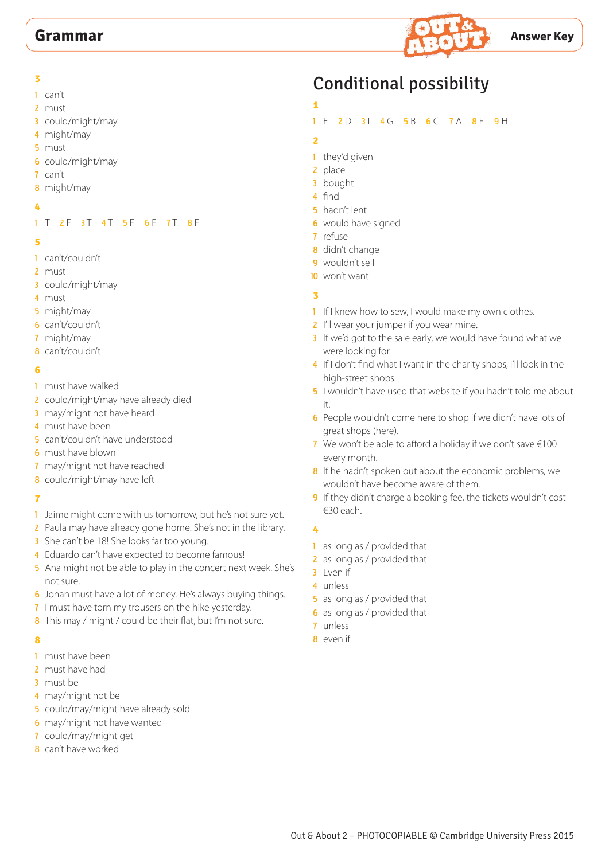

- can't
- must
- could/might/may
- might/may
- must
- could/might/may
- can't
- might/may
- 

# 1 T 2 F 3 T 4 T 5 F 6 F 7 T 8 F

#### 

- can't/couldn't
- must
- could/might/may
- must
- might/may
- can't/couldn't
- might/may
- can't/couldn't

# 

- must have walked
- 2 could/might/may have already died
- 3 may/might not have heard
- must have been
- can't/couldn't have understood
- must have blown
- may/might not have reached
- could/might/may have left

# 

- 1 Jaime might come with us tomorrow, but he's not sure yet.
- 2 Paula may have already gone home. She's not in the library.
- 3 She can't be 18! She looks far too young.
- 4 Eduardo can't have expected to become famous!
- 5 Ana might not be able to play in the concert next week. She's not sure.
- Jonan must have a lot of money. He's always buying things.
- 7 I must have torn my trousers on the hike yesterday.
- 8 This may / might / could be their flat, but I'm not sure.

## 

- must have been
- must have had
- must be
- 4 may/might not be
- could/may/might have already sold
- may/might not have wanted
- could/may/might get
- can't have worked

# Conditional possibility

- 
- 1 E 2 D 3 | 4 G 5 B 6 C 7 A 8 F 9 H
- 
- 1 they'd given
- place
- bought
- find
- hadn't lent
- would have signed
- refuse
- didn't change
- 9 wouldn't sell
- won't want

# 

- 1 If I knew how to sew, I would make my own clothes.
- 2 I'll wear your jumper if you wear mine.
- 3 If we'd got to the sale early, we would have found what we were looking for.
- 4 If I don't find what I want in the charity shops, I'll look in the high-street shops.
- I wouldn't have used that website if you hadn't told me about it.
- People wouldn't come here to shop if we didn't have lots of great shops (here).
- 7 We won't be able to afford a holiday if we don't save  $\epsilon$ 100 every month.
- 8 If he hadn't spoken out about the economic problems, we wouldn't have become aware of them.
- 9 If they didn't charge a booking fee, the tickets wouldn't cost €30 each.

- 1 as long as / provided that
- 2 as long as / provided that
- Even if
- unless
- as long as / provided that
- as long as / provided that
- unless
- even if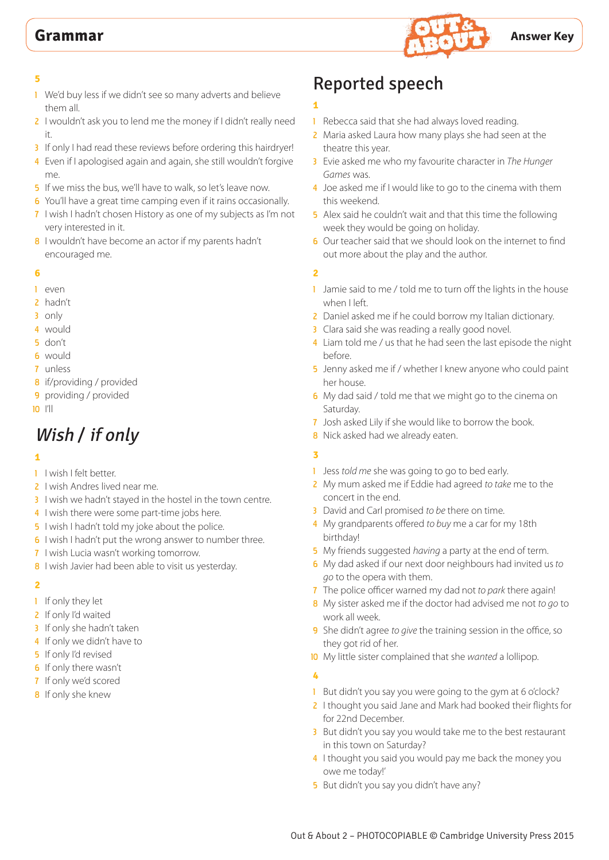

- 1 We'd buy less if we didn't see so many adverts and believe them all.
- 2 I wouldn't ask you to lend me the money if I didn't really need it.
- 3 If only I had read these reviews before ordering this hairdryer!
- 4 Even if I apologised again and again, she still wouldn't forgive me.
- 5 If we miss the bus, we'll have to walk, so let's leave now.
- 6 You'll have a great time camping even if it rains occasionally.
- 7 I wish I hadn't chosen History as one of my subjects as I'm not very interested in it.
- 8 I wouldn't have become an actor if my parents hadn't encouraged me.

### **6**

- 1 even
- 2 hadn't
- 3 only
- 4 would
- 5 don't
- 6 would
- 7 unless
- 8 if/providing / provided
- 9 providing / provided
- 10 I'll

# Wish / if only

## **1**

- 1 I wish I felt better.
- 2 I wish Andres lived near me.
- 3 I wish we hadn't stayed in the hostel in the town centre.
- 4 I wish there were some part-time jobs here.
- 5 I wish I hadn't told my joke about the police.
- 6 I wish I hadn't put the wrong answer to number three.
- 7 I wish Lucia wasn't working tomorrow.
- 8 I wish Javier had been able to visit us yesterday.

## **2**

- 1 If only they let
- 2 If only I'd waited
- 3 If only she hadn't taken
- 4 If only we didn't have to
- 5 If only I'd revised
- 6 If only there wasn't
- 7 If only we'd scored
- 8 If only she knew

# Reported speech

# **1**

- 1 Rebecca said that she had always loved reading.
- 2 Maria asked Laura how many plays she had seen at the theatre this year.
- 3 Evie asked me who my favourite character in *The Hunger Games* was.
- 4 Joe asked me if I would like to go to the cinema with them this weekend.
- 5 Alex said he couldn't wait and that this time the following week they would be going on holiday.
- 6 Our teacher said that we should look on the internet to find out more about the play and the author.

# **2**

- 1 Jamie said to me / told me to turn off the lights in the house when I left.
- 2 Daniel asked me if he could borrow my Italian dictionary.
- 3 Clara said she was reading a really good novel.
- 4 Liam told me / us that he had seen the last episode the night before.
- 5 Jenny asked me if / whether I knew anyone who could paint her house.
- 6 My dad said / told me that we might go to the cinema on Saturday.
- 7 Josh asked Lily if she would like to borrow the book.
- 8 Nick asked had we already eaten.

# **3**

- 1 Jess *told me* she was going to go to bed early.
- 2 My mum asked me if Eddie had agreed *to take* me to the concert in the end.
- 3 David and Carl promised *to be* there on time.
- 4 My grandparents offered *to buy* me a car for my 18th birthday!
- 5 My friends suggested *having* a party at the end of term.
- 6 My dad asked if our next door neighbours had invited us *to go* to the opera with them.
- 7 The police officer warned my dad not *to park* there again!
- 8 My sister asked me if the doctor had advised me not *to go* to work all week.
- 9 She didn't agree *to give* the training session in the office, so they got rid of her.
- 10 My little sister complained that she *wanted* a lollipop.

- 1 But didn't you say you were going to the gym at 6 o'clock?
- 2 I thought you said Jane and Mark had booked their flights for for 22nd December.
- 3 But didn't you say you would take me to the best restaurant in this town on Saturday?
- 4 I thought you said you would pay me back the money you owe me today!'
- 5 But didn't you say you didn't have any?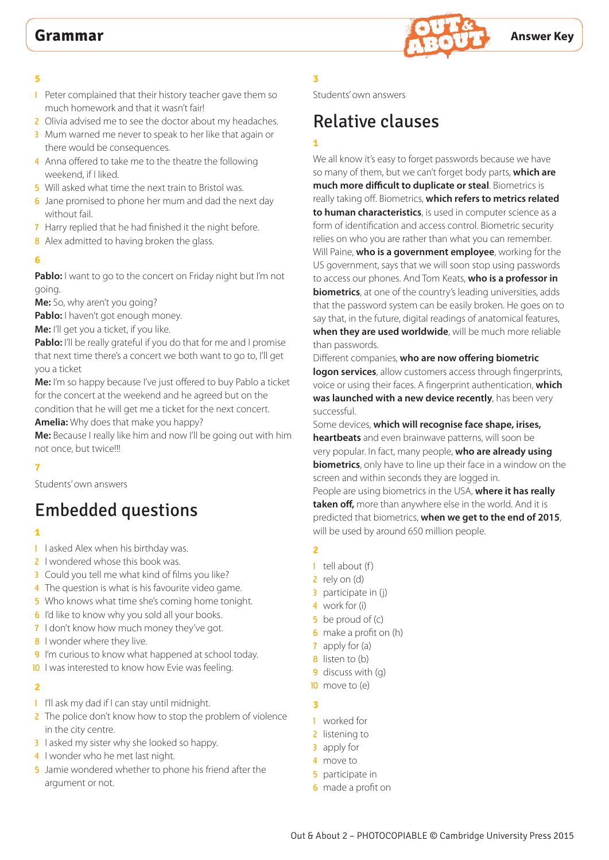

- 1 Peter complained that their history teacher gave them so much homework and that it wasn't fair!
- 2 Olivia advised me to see the doctor about my headaches.
- 3 Mum warned me never to speak to her like that again or there would be consequences.
- 4 Anna offered to take me to the theatre the following weekend, if I liked.
- 5 Will asked what time the next train to Bristol was.
- 6 Jane promised to phone her mum and dad the next day without fail.
- 7 Harry replied that he had finished it the night before.
- 8 Alex admitted to having broken the glass.

### **6**

Pablo: I want to go to the concert on Friday night but I'm not going.

**Me:** So, why aren't you going?

Pablo: I haven't got enough money.

**Me:** I'll get you a ticket, if you like.

**Pablo:** I'll be really grateful if you do that for me and I promise that next time there's a concert we both want to go to, I'll get you a ticket

**Me:** I'm so happy because I've just offered to buy Pablo a ticket for the concert at the weekend and he agreed but on the condition that he will get me a ticket for the next concert.

**Amelia:** Why does that make you happy?

**Me:** Because I really like him and now I'll be going out with him not once, but twice!!!

## **7**

Students' own answers

# Embedded questions

# **1**

- 1 I asked Alex when his birthday was.
- 2 I wondered whose this book was.
- 3 Could you tell me what kind of films you like?
- 4 The question is what is his favourite video game.
- 5 Who knows what time she's coming home tonight.
- **6** I'd like to know why you sold all your books.
- 7 I don't know how much money they've got.
- 8 I wonder where they live.
- 9 I'm curious to know what happened at school today.
- 10 I was interested to know how Evie was feeling.

## **2**

- 1 I'll ask my dad if I can stay until midnight.
- 2 The police don't know how to stop the problem of violence in the city centre.
- 3 I asked my sister why she looked so happy.
- 4 I wonder who he met last night.
- 5 Jamie wondered whether to phone his friend after the argument or not.

# **3**

Students' own answers

# Relative clauses

# **1**

We all know it's easy to forget passwords because we have so many of them, but we can't forget body parts, **which are much more difficult to duplicate or steal**. Biometrics is really taking off. Biometrics, **which refers to metrics related to human characteristics**, is used in computer science as a form of identification and access control. Biometric security relies on who you are rather than what you can remember. Will Paine, **who is a government employee**, working for the US government, says that we will soon stop using passwords to access our phones. And Tom Keats, **who is a professor in biometrics**, at one of the country's leading universities, adds that the password system can be easily broken. He goes on to say that, in the future, digital readings of anatomical features, **when they are used worldwide**, will be much more reliable than passwords.

Different companies, **who are now offering biometric logon services**, allow customers access through fingerprints, voice or using their faces. A fingerprint authentication, **which was launched with a new device recently**, has been very successful.

Some devices, **which will recognise face shape, irises, heartbeats** and even brainwave patterns, will soon be very popular. In fact, many people, **who are already using biometrics**, only have to line up their face in a window on the screen and within seconds they are logged in. People are using biometrics in the USA, **where it has really taken off,** more than anywhere else in the world. And it is predicted that biometrics, **when we get to the end of 2015**, will be used by around 650 million people.

## **2**

- $1$  tell about (f)
- 2 rely on (d)
- 3 participate in (j)
- 4 work for (i)
- 5 be proud of (c)
- **6** make a profit on (h)
- 7 apply for (a)
- **8** listen to (b)
- 9 discuss with (q)
- 10 move to (e)

- 1 worked for
- 2 listening to
- 3 apply for
- 4 move to
- **5** participate in
- **6** made a profit on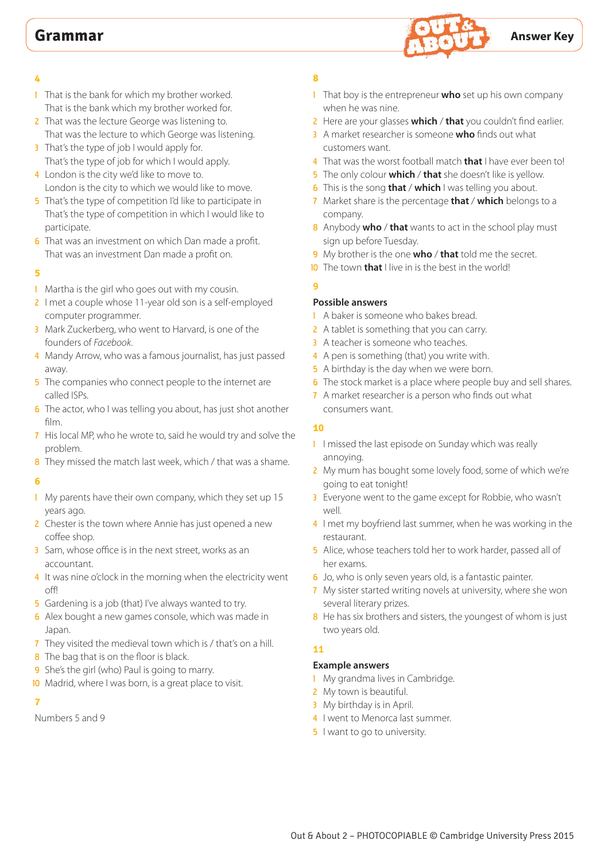

- **4**
- 1 That is the bank for which my brother worked. That is the bank which my brother worked for.
- 2 That was the lecture George was listening to. That was the lecture to which George was listening.
- 3 That's the type of job I would apply for. That's the type of job for which I would apply.
- 4 London is the city we'd like to move to. London is the city to which we would like to move.
- 5 That's the type of competition I'd like to participate in That's the type of competition in which I would like to participate.
- **6** That was an investment on which Dan made a profit. That was an investment Dan made a profit on.

- 1 Martha is the girl who goes out with my cousin.
- 2 I met a couple whose 11-year old son is a self-employed computer programmer.
- 3 Mark Zuckerberg, who went to Harvard, is one of the founders of *Facebook*.
- 4 Mandy Arrow, who was a famous journalist, has just passed away.
- 5 The companies who connect people to the internet are called ISPs.
- 6 The actor, who I was telling you about, has just shot another film.
- 7 His local MP, who he wrote to, said he would try and solve the problem.
- 8 They missed the match last week, which / that was a shame.

# **6**

- 1 My parents have their own company, which they set up 15 years ago.
- 2 Chester is the town where Annie has just opened a new coffee shop.
- 3 Sam, whose office is in the next street, works as an accountant.
- 4 It was nine o'clock in the morning when the electricity went off!
- 5 Gardening is a job (that) I've always wanted to try.
- 6 Alex bought a new games console, which was made in Japan.
- 7 They visited the medieval town which is / that's on a hill.
- 8 The bag that is on the floor is black.
- 9 She's the girl (who) Paul is going to marry.
- 10 Madrid, where I was born, is a great place to visit.

#### **7**

Numbers 5 and 9

# **8**

- 1 That boy is the entrepreneur **who** set up his own company when he was nine.
- 2 Here are your glasses **which** / **that** you couldn't find earlier.
- 3 A market researcher is someone **who** finds out what customers want.
- 4 That was the worst football match **that** I have ever been to!
- 5 The only colour **which** / **that** she doesn't like is yellow.
- 6 This is the song **that** / **which** I was telling you about.
- 7 Market share is the percentage **that** / **which** belongs to a company.
- 8 Anybody **who** / **that** wants to act in the school play must sign up before Tuesday.
- 9 My brother is the one **who** / **that** told me the secret.
- 10 The town **that** I live in is the best in the world!

### **9 Possible answers**

- 1 A baker is someone who bakes bread.
- 2 A tablet is something that you can carry.
- 3 A teacher is someone who teaches.
- 4 A pen is something (that) you write with.
- 5 A birthday is the day when we were born.
- **6** The stock market is a place where people buy and sell shares.
- 7 A market researcher is a person who finds out what consumers want.

# **10**

- 1 I missed the last episode on Sunday which was really annoying.
- 2 My mum has bought some lovely food, some of which we're going to eat tonight!
- 3 Everyone went to the game except for Robbie, who wasn't well.
- 4 I met my boyfriend last summer, when he was working in the restaurant.
- 5 Alice, whose teachers told her to work harder, passed all of her exams.
- 6 Jo, who is only seven years old, is a fantastic painter.
- 7 My sister started writing novels at university, where she won several literary prizes.
- 8 He has six brothers and sisters, the youngest of whom is just two years old.

# **11**

# **Example answers**

- 1 My grandma lives in Cambridge.
- 2 My town is beautiful.
- 3 My birthday is in April.
- 4 I went to Menorca last summer.
- **5** I want to go to university.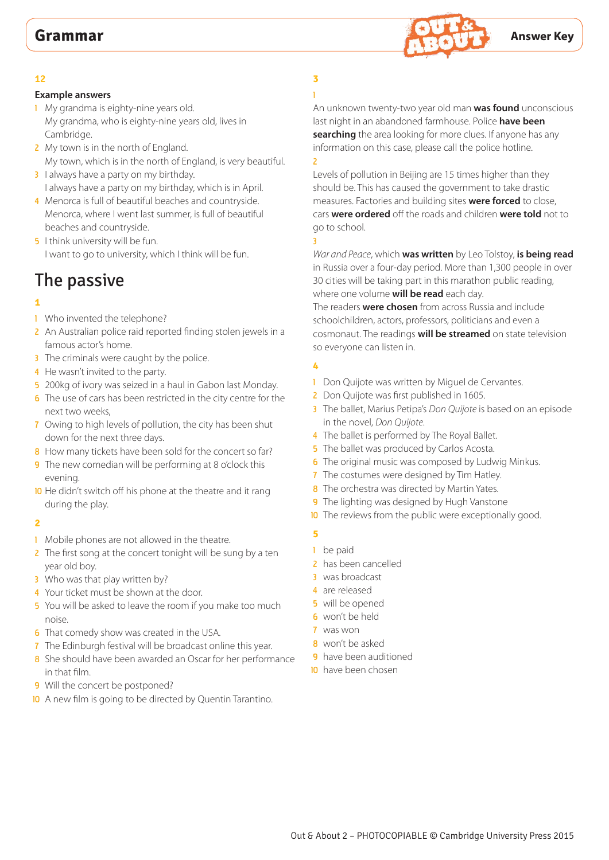

# **Example answers**

- 1 My grandma is eighty-nine years old. My grandma, who is eighty-nine years old, lives in Cambridge.
- 2 My town is in the north of England. My town, which is in the north of England, is very beautiful.
- 3 I always have a party on my birthday. I always have a party on my birthday, which is in April.
- 4 Menorca is full of beautiful beaches and countryside. Menorca, where I went last summer, is full of beautiful beaches and countryside.
- **5** I think university will be fun. I want to go to university, which I think will be fun.

# The passive

# **1**

- 1 Who invented the telephone?
- 2 An Australian police raid reported finding stolen jewels in a famous actor's home.
- **3** The criminals were caught by the police.
- 4 He wasn't invited to the party.
- 5 200kg of ivory was seized in a haul in Gabon last Monday.
- 6 The use of cars has been restricted in the city centre for the next two weeks,
- 7 Owing to high levels of pollution, the city has been shut down for the next three days.
- 8 How many tickets have been sold for the concert so far?
- 9 The new comedian will be performing at 8 o'clock this evening.
- 10 He didn't switch off his phone at the theatre and it rang during the play.

## **2**

- 1 Mobile phones are not allowed in the theatre.
- 2 The first song at the concert tonight will be sung by a ten year old boy.
- 3 Who was that play written by?
- 4 Your ticket must be shown at the door.
- 5 You will be asked to leave the room if you make too much noise.
- 6 That comedy show was created in the USA.
- 7 The Edinburgh festival will be broadcast online this year.
- 8 She should have been awarded an Oscar for her performance in that film.
- 9 Will the concert be postponed?
- 10 A new film is going to be directed by Quentin Tarantino.

#### **3** ï 1

An unknown twenty-two year old man **was found** unconscious last night in an abandoned farmhouse. Police **have been searching** the area looking for more clues. If anyone has any information on this case, please call the police hotline. 2

Levels of pollution in Beijing are 15 times higher than they should be. This has caused the government to take drastic measures. Factories and building sites **were forced** to close, cars **were ordered** off the roads and children **were told** not to go to school. 3

*War and Peace*, which **was written** by Leo Tolstoy, **is being read** in Russia over a four-day period. More than 1,300 people in over 30 cities will be taking part in this marathon public reading, where one volume **will be read** each day.

The readers **were chosen** from across Russia and include schoolchildren, actors, professors, politicians and even a cosmonaut. The readings **will be streamed** on state television so everyone can listen in.

# **4**

- 1 Don Quijote was written by Miguel de Cervantes.
- 2 Don Quijote was first published in 1605.
- 3 The ballet, Marius Petipa's *Don Quijote* is based on an episode in the novel, *Don Quijote*.
- 4 The ballet is performed by The Royal Ballet.
- 5 The ballet was produced by Carlos Acosta.
- **6** The original music was composed by Ludwig Minkus.
- 7 The costumes were designed by Tim Hatley.
- 8 The orchestra was directed by Martin Yates.
- **9** The lighting was designed by Hugh Vanstone
- **10** The reviews from the public were exceptionally good.
	-

- 1 be paid
- 2 has been cancelled
- 3 was broadcast
- 4 are released
- 5 will be opened
- 6 won't be held
- 7 was won
- 8 won't be asked
- 9 have been auditioned
- 10 have been chosen